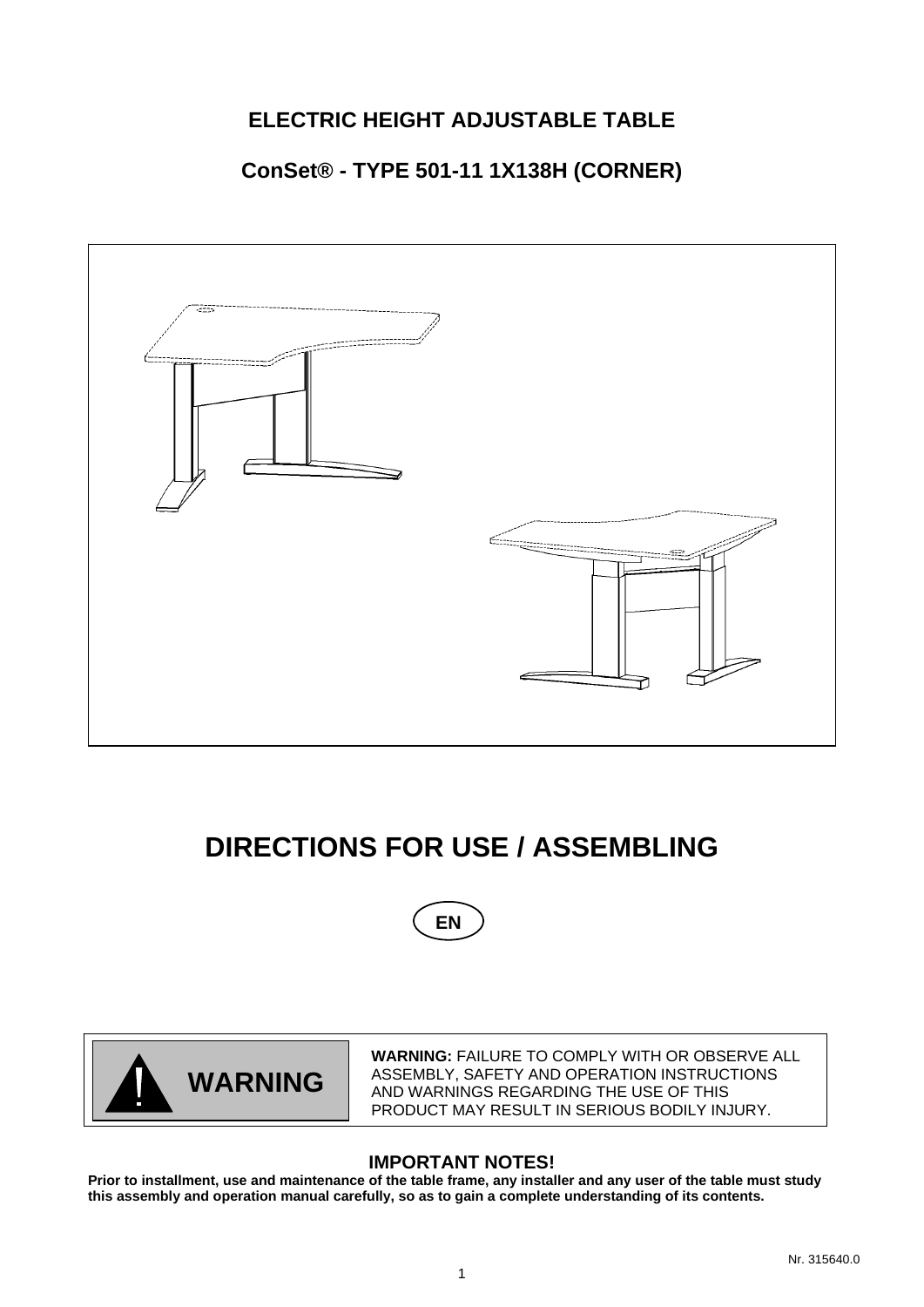# **ELECTRIC HEIGHT ADJUSTABLE TABLE**

## **ConSet® - TYPE 501-11 1X138H (CORNER)**



# **DIRECTIONS FOR USE / ASSEMBLING**





**WARNING:** FAILURE TO COMPLY WITH OR OBSERVE ALL ASSEMBLY, SAFETY AND OPERATION INSTRUCTIONS AND WARNINGS REGARDING THE USE OF THIS PRODUCT MAY RESULT IN SERIOUS BODILY INJURY.

### **IMPORTANT NOTES!**

**Prior to installment, use and maintenance of the table frame, any installer and any user of the table must study this assembly and operation manual carefully, so as to gain a complete understanding of its contents.**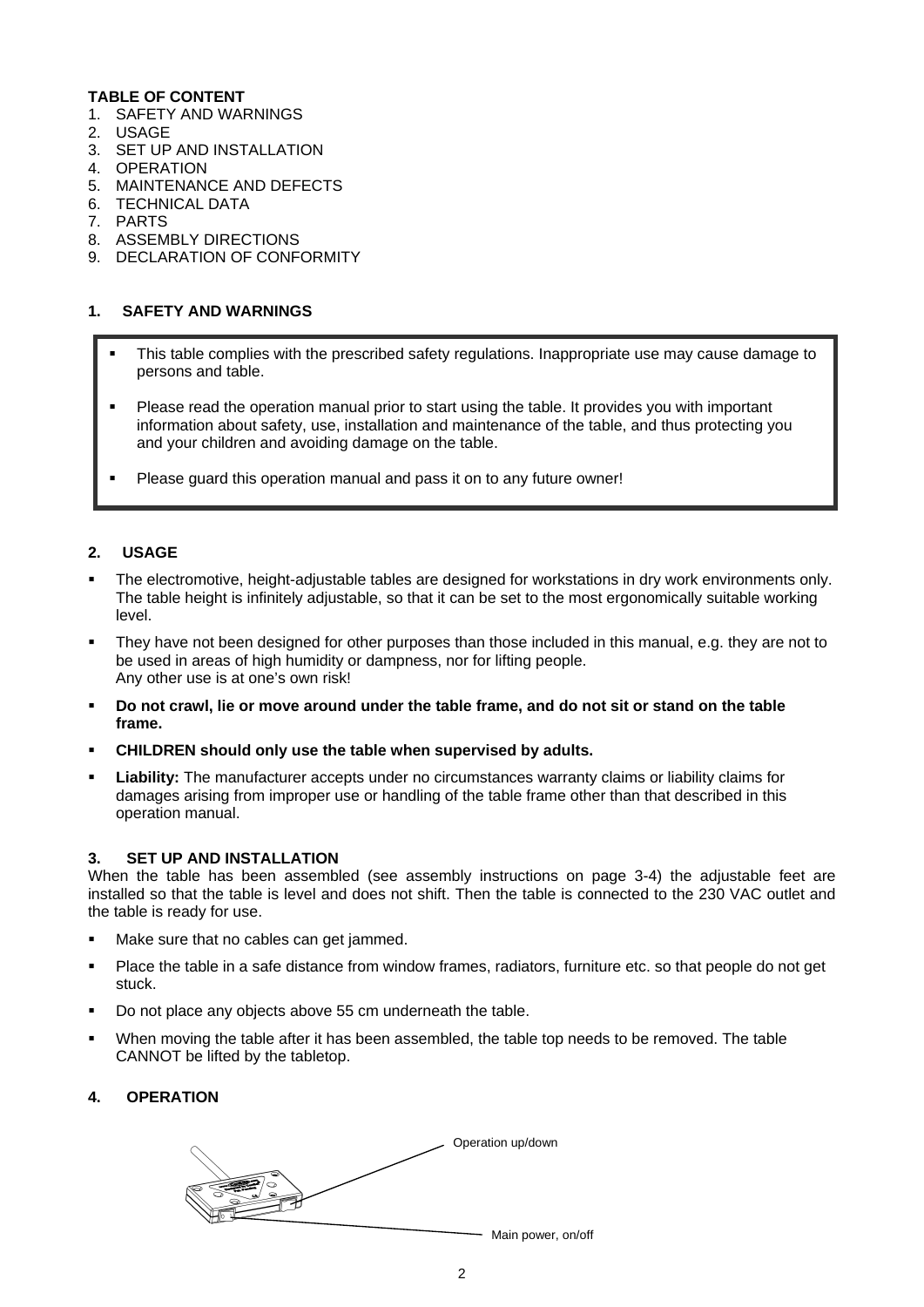#### **TABLE OF CONTENT**

- 1. SAFETY AND WARNINGS
- 2. USAGE
- 3. SET UP AND INSTALLATION
- 4. OPERATION
- 5. MAINTENANCE AND DEFECTS
- 6. TECHNICAL DATA
- 7. PARTS
- 8. ASSEMBLY DIRECTIONS
- 9. DECLARATION OF CONFORMITY

#### **1. SAFETY AND WARNINGS**

- This table complies with the prescribed safety regulations. Inappropriate use may cause damage to persons and table.
- Please read the operation manual prior to start using the table. It provides you with important information about safety, use, installation and maintenance of the table, and thus protecting you and your children and avoiding damage on the table.
- Please guard this operation manual and pass it on to any future owner!

#### **2. USAGE**

- The electromotive, height-adjustable tables are designed for workstations in dry work environments only. The table height is infinitely adjustable, so that it can be set to the most ergonomically suitable working level.
- They have not been designed for other purposes than those included in this manual, e.g. they are not to be used in areas of high humidity or dampness, nor for lifting people. Any other use is at one's own risk!
- **Do not crawl, lie or move around under the table frame, and do not sit or stand on the table frame.**
- **CHILDREN should only use the table when supervised by adults.**
- **Liability:** The manufacturer accepts under no circumstances warranty claims or liability claims for damages arising from improper use or handling of the table frame other than that described in this operation manual.

#### **3. SET UP AND INSTALLATION**

When the table has been assembled (see assembly instructions on page 3-4) the adjustable feet are installed so that the table is level and does not shift. Then the table is connected to the 230 VAC outlet and the table is ready for use.

- Make sure that no cables can get jammed.
- Place the table in a safe distance from window frames, radiators, furniture etc. so that people do not get stuck.
- Do not place any objects above 55 cm underneath the table.
- When moving the table after it has been assembled, the table top needs to be removed. The table CANNOT be lifted by the tabletop.

#### **4. OPERATION**

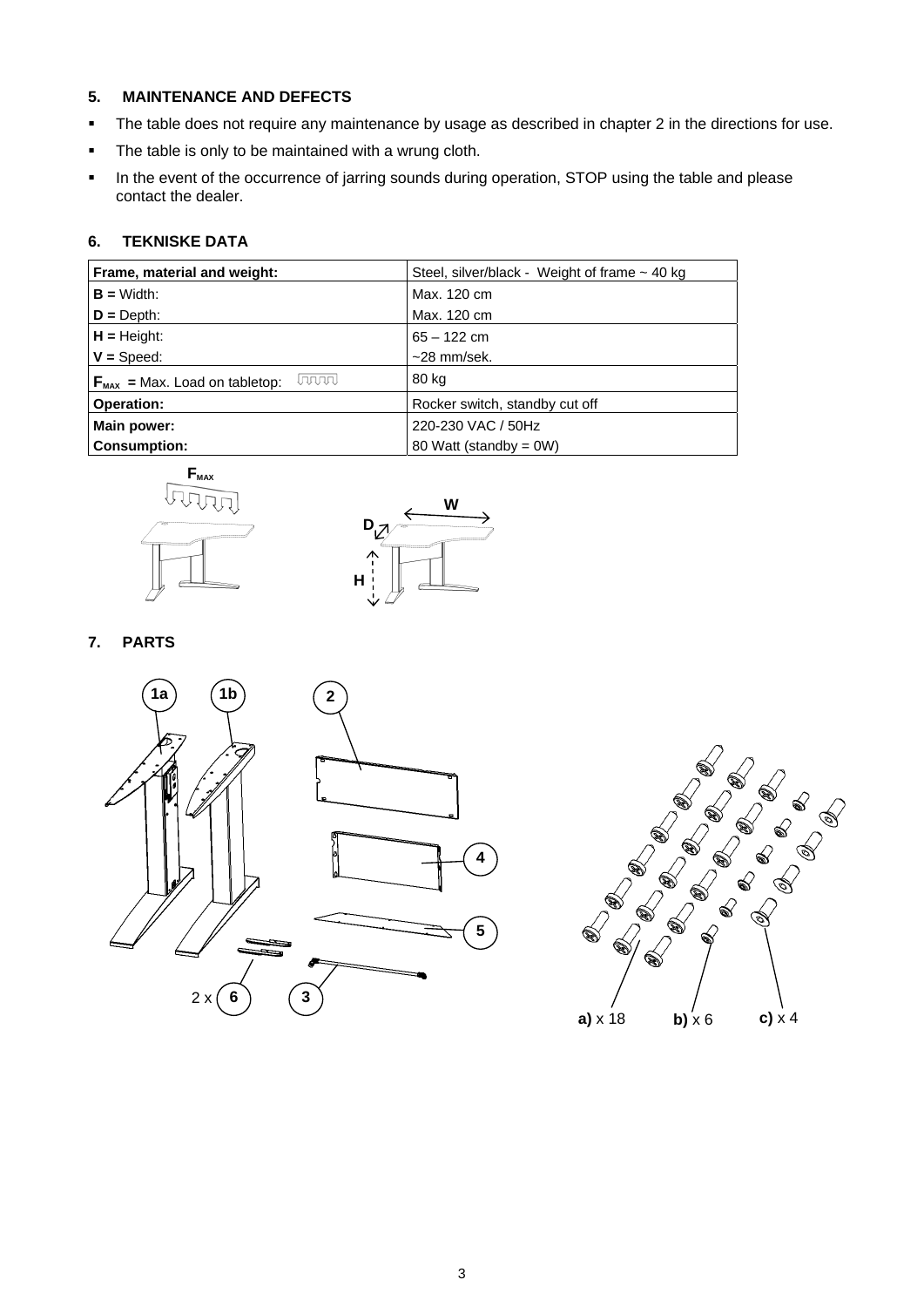#### **5. MAINTENANCE AND DEFECTS**

- The table does not require any maintenance by usage as described in chapter 2 in the directions for use.
- The table is only to be maintained with a wrung cloth.
- In the event of the occurrence of jarring sounds during operation, STOP using the table and please contact the dealer.

#### **6. TEKNISKE DATA**

| Frame, material and weight:                         | Steel, silver/black - Weight of frame $\sim$ 40 kg |
|-----------------------------------------------------|----------------------------------------------------|
| $B = \text{Width}:$                                 | Max. 120 cm                                        |
| $D = Depth$ :                                       | Max. 120 cm                                        |
| $H = Height$ :                                      | $65 - 122$ cm                                      |
| $V = Speed:$                                        | $~28$ mm/sek.                                      |
| lannal<br>$F_{\text{max}}$ = Max. Load on tabletop: | 80 kg                                              |
| <b>Operation:</b>                                   | Rocker switch, standby cut off                     |
| Main power:                                         | 220-230 VAC / 50Hz                                 |
| <b>Consumption:</b>                                 | 80 Watt (standby = 0W)                             |





**7. PARTS** 



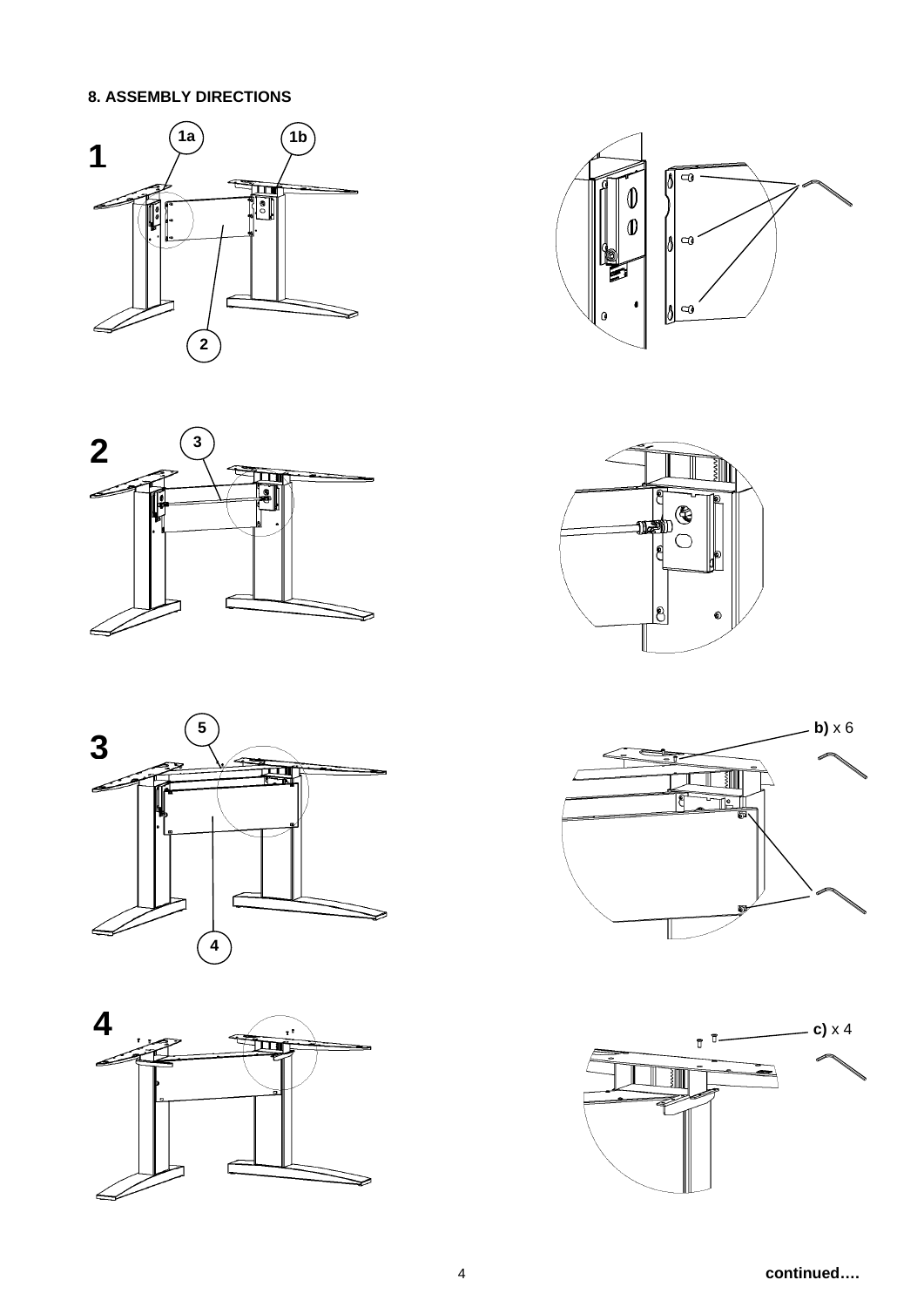## **8. ASSEMBLY DIRECTIONS**